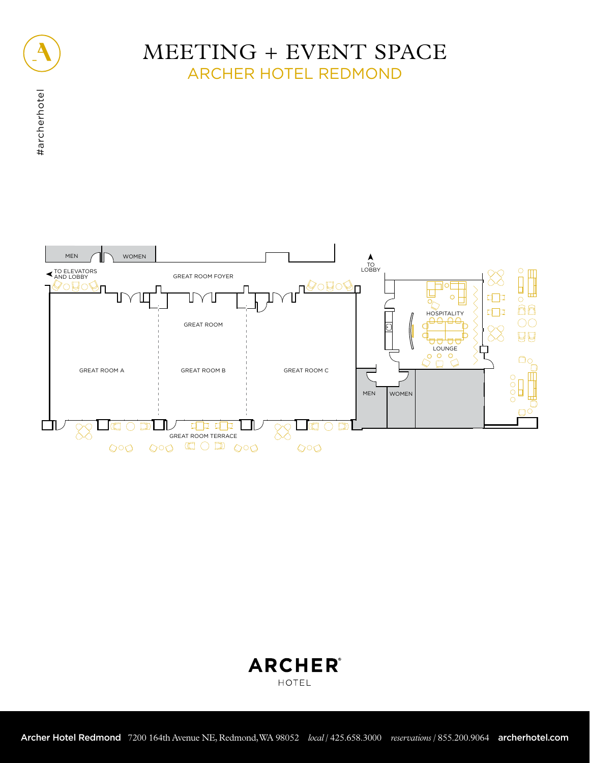

#archerhotel

#archerhotel

# MEETING + EVENT SPACE ARCHER HOTEL REDMOND



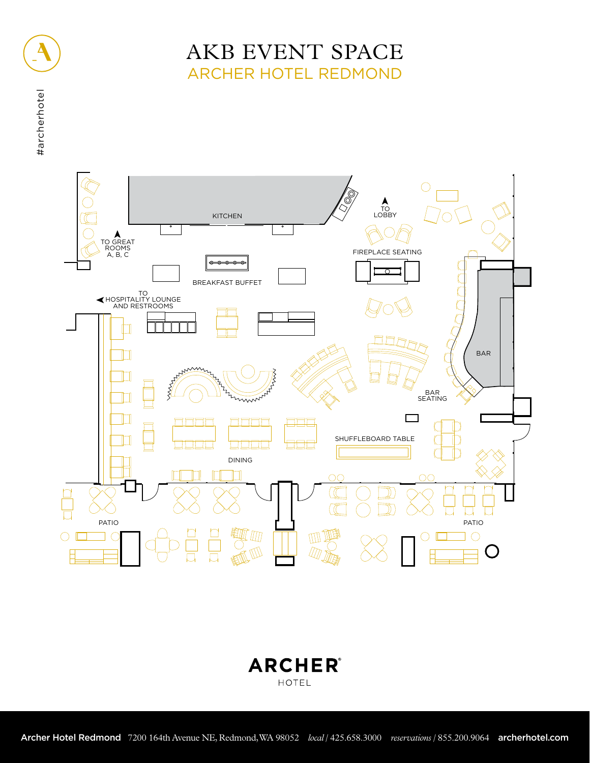# AKB EVENT SPACE ARCHER HOTEL REDMOND



**ARCHER®** HOTEL